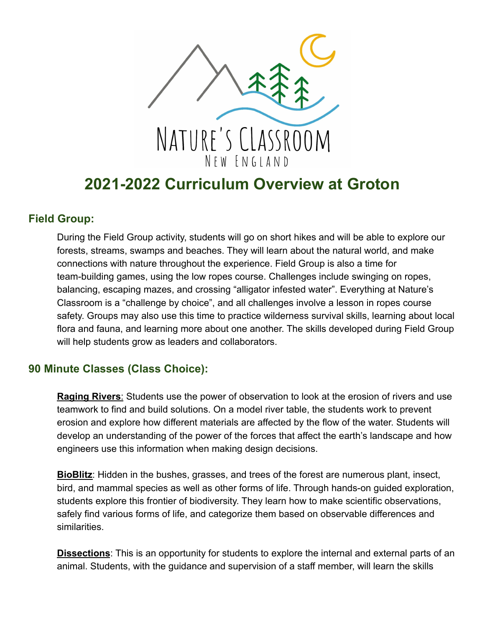

# **2021-2022 Curriculum Overview at Groton**

## **Field Group:**

During the Field Group activity, students will go on short hikes and will be able to explore our forests, streams, swamps and beaches. They will learn about the natural world, and make connections with nature throughout the experience. Field Group is also a time for team-building games, using the low ropes course. Challenges include swinging on ropes, balancing, escaping mazes, and crossing "alligator infested water". Everything at Nature's Classroom is a "challenge by choice", and all challenges involve a lesson in ropes course safety. Groups may also use this time to practice wilderness survival skills, learning about local flora and fauna, and learning more about one another. The skills developed during Field Group will help students grow as leaders and collaborators.

## **90 Minute Classes (Class Choice):**

**Raging Rivers**: Students use the power of observation to look at the erosion of rivers and use teamwork to find and build solutions. On a model river table, the students work to prevent erosion and explore how different materials are affected by the flow of the water. Students will develop an understanding of the power of the forces that affect the earth's landscape and how engineers use this information when making design decisions.

**BioBlitz**: Hidden in the bushes, grasses, and trees of the forest are numerous plant, insect, bird, and mammal species as well as other forms of life. Through hands-on guided exploration, students explore this frontier of biodiversity. They learn how to make scientific observations, safely find various forms of life, and categorize them based on observable differences and similarities.

**Dissections**: This is an opportunity for students to explore the internal and external parts of an animal. Students, with the guidance and supervision of a staff member, will learn the skills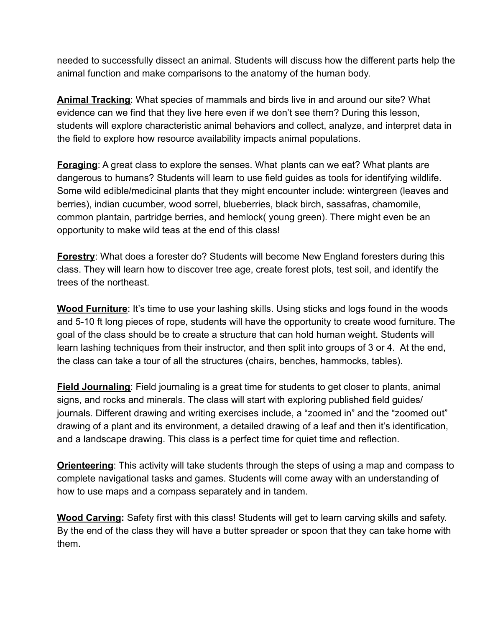needed to successfully dissect an animal. Students will discuss how the different parts help the animal function and make comparisons to the anatomy of the human body.

**Animal Tracking**: What species of mammals and birds live in and around our site? What evidence can we find that they live here even if we don't see them? During this lesson, students will explore characteristic animal behaviors and collect, analyze, and interpret data in the field to explore how resource availability impacts animal populations.

**Foraging**: A great class to explore the senses. What plants can we eat? What plants are dangerous to humans? Students will learn to use field guides as tools for identifying wildlife. Some wild edible/medicinal plants that they might encounter include: wintergreen (leaves and berries), indian cucumber, wood sorrel, blueberries, black birch, sassafras, chamomile, common plantain, partridge berries, and hemlock( young green). There might even be an opportunity to make wild teas at the end of this class!

**Forestry:** What does a forester do? Students will become New England foresters during this class. They will learn how to discover tree age, create forest plots, test soil, and identify the trees of the northeast.

**Wood Furniture**: It's time to use your lashing skills. Using sticks and logs found in the woods and 5-10 ft long pieces of rope, students will have the opportunity to create wood furniture. The goal of the class should be to create a structure that can hold human weight. Students will learn lashing techniques from their instructor, and then split into groups of 3 or 4. At the end, the class can take a tour of all the structures (chairs, benches, hammocks, tables).

**Field Journaling**: Field journaling is a great time for students to get closer to plants, animal signs, and rocks and minerals. The class will start with exploring published field guides/ journals. Different drawing and writing exercises include, a "zoomed in" and the "zoomed out" drawing of a plant and its environment, a detailed drawing of a leaf and then it's identification, and a landscape drawing. This class is a perfect time for quiet time and reflection.

**Orienteering**: This activity will take students through the steps of using a map and compass to complete navigational tasks and games. Students will come away with an understanding of how to use maps and a compass separately and in tandem.

**Wood Carving:** Safety first with this class! Students will get to learn carving skills and safety. By the end of the class they will have a butter spreader or spoon that they can take home with them.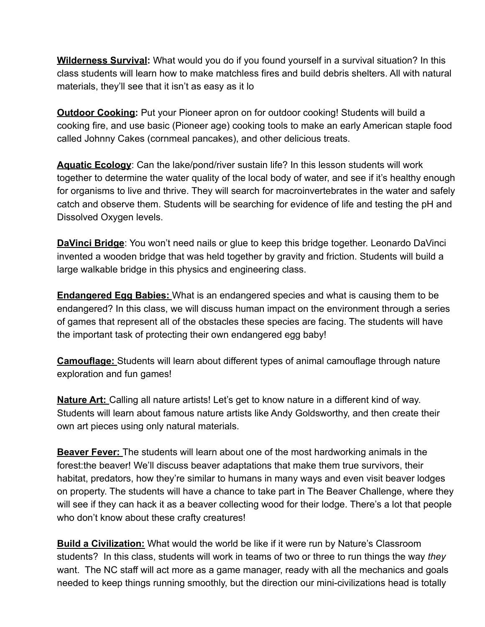**Wilderness Survival:** What would you do if you found yourself in a survival situation? In this class students will learn how to make matchless fires and build debris shelters. All with natural materials, they'll see that it isn't as easy as it lo

**Outdoor Cooking:** Put your Pioneer apron on for outdoor cooking! Students will build a cooking fire, and use basic (Pioneer age) cooking tools to make an early American staple food called Johnny Cakes (cornmeal pancakes), and other delicious treats.

**Aquatic Ecology**: Can the lake/pond/river sustain life? In this lesson students will work together to determine the water quality of the local body of water, and see if it's healthy enough for organisms to live and thrive. They will search for macroinvertebrates in the water and safely catch and observe them. Students will be searching for evidence of life and testing the pH and Dissolved Oxygen levels.

**DaVinci Bridge**: You won't need nails or glue to keep this bridge together. Leonardo DaVinci invented a wooden bridge that was held together by gravity and friction. Students will build a large walkable bridge in this physics and engineering class.

**Endangered Egg Babies:** What is an endangered species and what is causing them to be endangered? In this class, we will discuss human impact on the environment through a series of games that represent all of the obstacles these species are facing. The students will have the important task of protecting their own endangered egg baby!

**Camouflage:** Students will learn about different types of animal camouflage through nature exploration and fun games!

**Nature Art:** Calling all nature artists! Let's get to know nature in a different kind of way. Students will learn about famous nature artists like Andy Goldsworthy, and then create their own art pieces using only natural materials.

**Beaver Fever:** The students will learn about one of the most hardworking animals in the forest:the beaver! We'll discuss beaver adaptations that make them true survivors, their habitat, predators, how they're similar to humans in many ways and even visit beaver lodges on property. The students will have a chance to take part in The Beaver Challenge, where they will see if they can hack it as a beaver collecting wood for their lodge. There's a lot that people who don't know about these crafty creatures!

**Build a Civilization:** What would the world be like if it were run by Nature's Classroom students? In this class, students will work in teams of two or three to run things the way *they* want. The NC staff will act more as a game manager, ready with all the mechanics and goals needed to keep things running smoothly, but the direction our mini-civilizations head is totally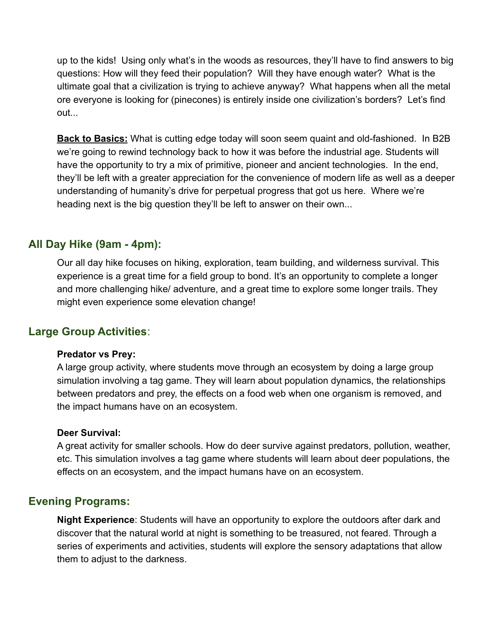up to the kids! Using only what's in the woods as resources, they'll have to find answers to big questions: How will they feed their population? Will they have enough water? What is the ultimate goal that a civilization is trying to achieve anyway? What happens when all the metal ore everyone is looking for (pinecones) is entirely inside one civilization's borders? Let's find out...

**Back to Basics:** What is cutting edge today will soon seem quaint and old-fashioned. In B2B we're going to rewind technology back to how it was before the industrial age. Students will have the opportunity to try a mix of primitive, pioneer and ancient technologies. In the end, they'll be left with a greater appreciation for the convenience of modern life as well as a deeper understanding of humanity's drive for perpetual progress that got us here. Where we're heading next is the big question they'll be left to answer on their own...

## **All Day Hike (9am - 4pm):**

Our all day hike focuses on hiking, exploration, team building, and wilderness survival. This experience is a great time for a field group to bond. It's an opportunity to complete a longer and more challenging hike/ adventure, and a great time to explore some longer trails. They might even experience some elevation change!

## **Large Group Activities**:

#### **Predator vs Prey:**

A large group activity, where students move through an ecosystem by doing a large group simulation involving a tag game. They will learn about population dynamics, the relationships between predators and prey, the effects on a food web when one organism is removed, and the impact humans have on an ecosystem.

#### **Deer Survival:**

A great activity for smaller schools. How do deer survive against predators, pollution, weather, etc. This simulation involves a tag game where students will learn about deer populations, the effects on an ecosystem, and the impact humans have on an ecosystem.

## **Evening Programs:**

**Night Experience**: Students will have an opportunity to explore the outdoors after dark and discover that the natural world at night is something to be treasured, not feared. Through a series of experiments and activities, students will explore the sensory adaptations that allow them to adjust to the darkness.